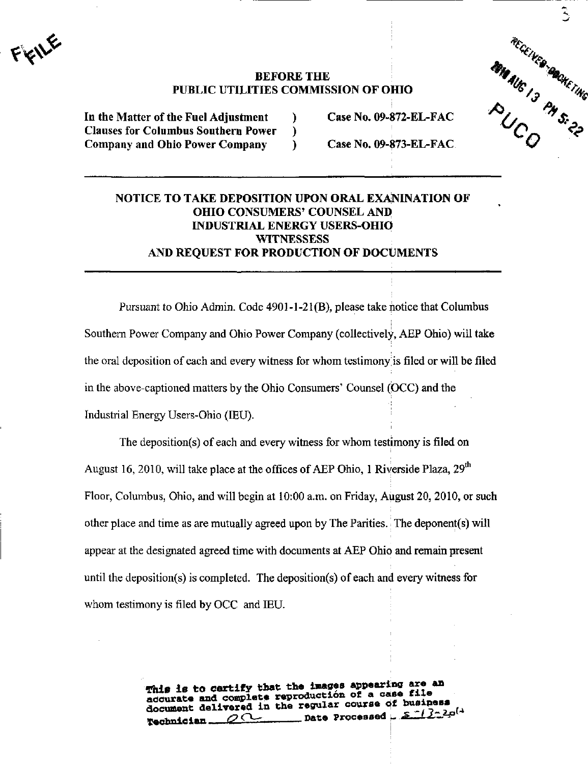$\mathbf{f}^{\mathbf{v}}$ 

## BEFORE THE PUBLIC UTILITIES COMMISSION OF OHIO

Clauses for Columbus Southern Power ) Company and Ohio Power Company (and Case No. 09-873-EL-FAC.)



## NOTICE TO TAKE DEPOSITION UPON ORAL EXANINATION OF OHIO CONSUMERS' COUNSEL AND INDUSTRIAL ENERGY USERS-OHIO **WITNESSESS** AND REQUEST FOR PRODUCTION OF DOCUMENTS

Pursuant to Ohio Admin. Code  $4901-1-21(B)$ , please take notice that Columbus Southern Power Company and Ohio Power Company (collectively, AEP Ohio) will take the oral deposition of each and every witness for whom testimony is filed or will be filed in the above-captioned matters by the Ohio Consumers' Counsel (OCC) and the Industrial Energy Users-Ohio (lEU).

The deposition(s) of each and every witness for whom testimony is filed on August 16, 2010, will take place at the offices of AEP Ohio, 1 Riverside Plaza, 29<sup>th</sup> Floor, Columbus, Ohio, and will begin at 10:00 a.m. on Friday, August 20, 2010, or such other place and time as are mutually agreed upon by The Parities, The deponent(s) will appear at the designated agreed time with documents at AEP Ohio and remain present until the deposition(s) is completed. The deposition(s) of each and every witness for whom testimony is filed by OCC and lEU.

> This is to certify that the images appearing are an accurate and complete reproduction of a case file document delivered in the regular course of business Technician  $\overline{\mathscr{Q}^{\prime\prime}}$  Date Processed  $\overline{\mathscr{Z}^{\prime\prime}}$ .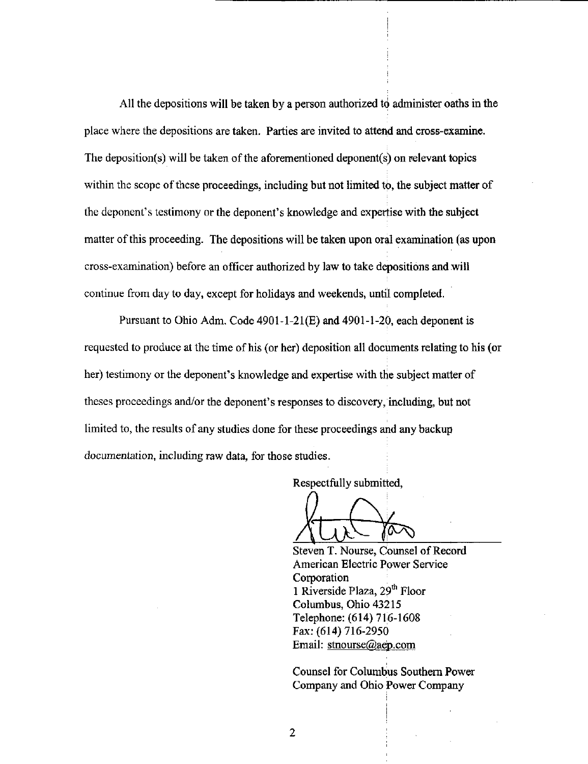All the depositions will be taken by a person authorized to administer oaths in the place where the depositions are taken. Parties are invited to attend and cross-examine. The deposition(s) will be taken of the aforementioned deponent(s) on relevant topics within the scope of these proceedings, including but not limited to, the subject matter of the deponent's testimony or the deponent's knowledge and expertise with the subject matter of this proceeding. The depositions will be taken upon oral examination (as upon cross-examination) before an officer authorized by law to take depositions and will continue from day to day, except for holidays and weekends, until completed.

Pursuant to Ohio Adm. Code 4901-1-21(E) and 4901-1-20. each deponent is requested to produce at the time of his (or her) deposition all documents relating to his (or her) testimony or the deponent's knowledge and expertise with the subject matter of theses proceedings and/or the deponent's responses to discovery, including, but not limited to, the results of any studies done for these proceedings and any backup documentation, including raw data, for those studies.

Respectfully submitted.

Steven T. Nourse, Counsel of Record American Electric Power Service Corporation 1 Riverside Plaza, 29<sup>th</sup> Floor Columbus, Ohio 43215 Telephone: (614) 716-1608 Fax: (614) 716-2950 Email: stnourse@aep.com

Counsel for Columbus Southern Power Company and Ohio Power Company